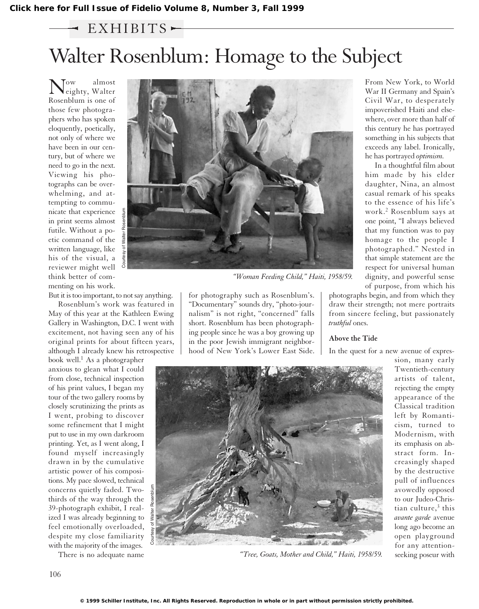## Walter Rosenblum: Homage to the Subject  $-$  EXHIBITS $-$

 $\sum_{\substack{\text{eighty}, \\ \text{Malter}}}^{\text{ow}}$  almost Rosenblum is one of those few photographers who has spoken eloquently, poetically, not only of where we have been in our century, but of where we need to go in the next. Viewing his photographs can be overwhelming, and attempting to communicate that experience in print seems almost futile. Without a poetic command of the written language, like his of the visual, a reviewer might well think better of commenting on his work.

But it is too important, to not say anything. Rosenblum's work was featured in

May of this year at the Kathleen Ewing Gallery in Washington, D.C. I went with excitement, not having seen any of his original prints for about fifteen years, although I already knew his retrospective

book well.<sup>1</sup> As a photographer anxious to glean what I could from close, technical inspection of his print values, I began my tour of the two gallery rooms by closely scrutinizing the prints as I went, probing to discover some refinement that I might put to use in my own darkroom printing. Yet, as I went along, I found myself increasingly drawn in by the cumulative artistic power of his compositions. My pace slowed, technical concerns quietly faded. Twothirds of the way through the 39-photograph exhibit, I realized I was already beginning to feel emotionally overloaded, despite my close familiarity with the majority of the images.

There is no adequate name



*"Woman Feeding Child," Haiti, 1958/59.*

for photography such as Rosenblum's. "Documentary" sounds dry, "photo-journalism" is not right, "concerned" falls short. Rosenblum has been photographing people since he was a boy growing up in the poor Jewish immigrant neighborhood of New York's Lower East Side.

From New York, to World War II Germany and Spain's Civil War, to desperately impoverished Haiti and elsewhere, over more than half of this century he has portrayed something in his subjects that exceeds any label. Ironically, he has portrayed *optimism.*

In a thoughtful film about him made by his elder daughter, Nina, an almost casual remark of his speaks to the essence of his life's work.<sup>2</sup> Rosenblum says at one point, "I always believed that my function was to pay homage to the people I photographed." Nested in that simple statement are the respect for universal human dignity, and powerful sense of purpose, from which his

photographs begin, and from which they draw their strength; not mere portraits from sincere feeling, but passionately *truthful* ones.

## **Above the Tide**

In the quest for a new avenue of expres-



*"Tree, Goats, Mother and Child," Haiti, 1958/59.*

sion, many early Twentieth-century artists of talent, rejecting the empty appearance of the Classical tradition left by Romanticism, turned to Modernism, with its emphasis on abstract form. Increasingly shaped by the destructive pull of influences avowedly opposed to our Judeo-Christian culture, $3$  this *avante garde* avenue long ago become an open playground for any attentionseeking poseur with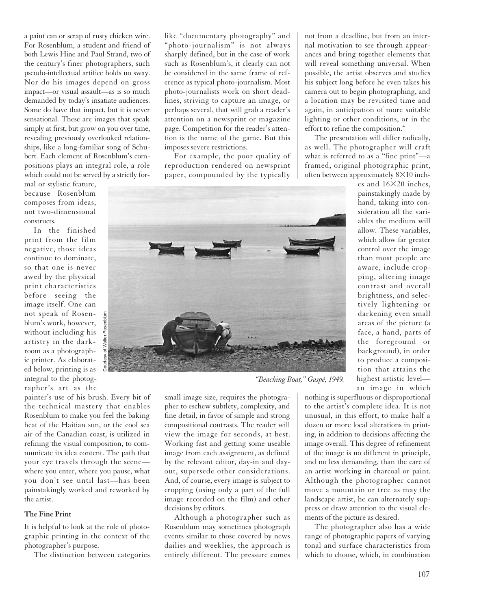a paint can or scrap of rusty chicken wire. For Rosenblum, a student and friend of both Lewis Hine and Paul Strand, two of the century's finer photographers, such pseudo-intellectual artifice holds no sway. Nor do his images depend on gross impact—or visual assault—as is so much demanded by today's insatiate audiences. Some do have that impact, but it is never sensational. These are images that speak simply at first, but grow on you over time, revealing previously overlooked relationships, like a long-familiar song of Schubert. Each element of Rosenblum's compositions plays an integral role, a role which could not be served by a strictly for-

mal or stylistic feature, because Rosenblum composes from ideas, not two-dimensional constructs.

In the finished print from the film negative, those ideas continue to dominate, so that one is never awed by the physical print characteristics before seeing the image itself. One can not speak of Rosenblum's work, however, without including his artistry in the darkroom as a photographic printer. As elaborated below, printing is as integral to the photographer's art as the

painter's use of his brush. Every bit of the technical mastery that enables Rosenblum to make you feel the baking heat of the Haitian sun, or the cool sea air of the Canadian coast, is utilized in refining the visual composition, to communicate its idea content. The path that your eye travels through the scene where you enter, where you pause, what you don't see until last—has been painstakingly worked and reworked by the artist.

Courtesy of Walter Rosenblum

## **The Fine Print**

It is helpful to look at the role of photographic printing in the context of the photographer's purpose.

The distinction between categories

like "documentary photography" and "photo-journalism" is not always sharply defined, but in the case of work such as Rosenblum's, it clearly can not be considered in the same frame of reference as typical photo-journalism. Most photo-journalists work on short deadlines, striving to capture an image, or perhaps several, that will grab a reader's attention on a newsprint or magazine page. Competition for the reader's attention is the name of the game. But this imposes severe restrictions.

For example, the poor quality of reproduction rendered on newsprint paper, compounded by the typically



*"Beaching Boat," Gaspé, 1949.*

small image size, requires the photographer to eschew subtlety, complexity, and fine detail, in favor of simple and strong compositional contrasts. The reader will view the image for seconds, at best. Working fast and getting some useable image from each assignment, as defined by the relevant editor, day-in and dayout, supersede other considerations. And, of course, every image is subject to cropping (using only a part of the full image recorded on the film) and other decisions by editors.

Although a photographer such as Rosenblum may sometimes photograph events similar to those covered by news dailies and weeklies, the approach is entirely different. The pressure comes not from a deadline, but from an internal motivation to see through appearances and bring together elements that will reveal something universal. When possible, the artist observes and studies his subject long before he even takes his camera out to begin photographing, and a location may be revisited time and again, in anticipation of more suitable lighting or other conditions, or in the effort to refine the composition.<sup>4</sup>

The presentation will differ radically, as well. The photographer will craft what is referred to as a "fine print"—a framed, original photographic print, often between approximately  $8\times10$  inch-

es and  $16\times20$  inches, painstakingly made by hand, taking into consideration all the variables the medium will allow. These variables, which allow far greater control over the image than most people are aware, include cropping, altering image contrast and overall brightness, and selectively lightening or darkening even small areas of the picture (a face, a hand, parts of the foreground or background), in order to produce a composition that attains the highest artistic level an image in which

nothing is superfluous or disproportional to the artist's complete idea. It is not unusual, in this effort, to make half a dozen or more local alterations in printing, in addition to decisions affecting the image overall. This degree of refinement of the image is no different in principle, and no less demanding, than the care of an artist working in charcoal or paint. Although the photographer cannot move a mountain or tree as may the landscape artist, he can alternately suppress or draw attention to the visual elements of the picture as desired.

The photographer also has a wide range of photographic papers of varying tonal and surface characteristics from which to choose, which, in combination